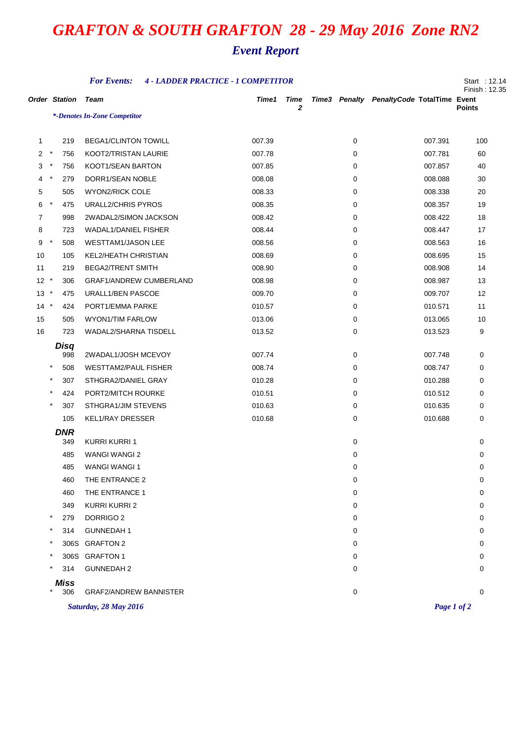## *GRAFTON & SOUTH GRAFTON 28 - 29 May 2016 Zone RN2*

## *Event Report*

| <b>For Events:</b><br><b>4 - LADDER PRACTICE - 1 COMPETITOR</b> |                      |                                |        |             |  |   |                                           |               |  |
|-----------------------------------------------------------------|----------------------|--------------------------------|--------|-------------|--|---|-------------------------------------------|---------------|--|
|                                                                 | <b>Order Station</b> | <b>Team</b>                    | Time1  | <b>Time</b> |  |   | Time3 Penalty PenaltyCode TotalTime Event |               |  |
|                                                                 |                      | *-Denotes In-Zone Competitor   |        | 2           |  |   |                                           | <b>Points</b> |  |
|                                                                 |                      |                                |        |             |  |   |                                           |               |  |
| 1                                                               | 219                  | <b>BEGA1/CLINTON TOWILL</b>    | 007.39 |             |  | 0 | 007.391                                   | 100           |  |
| 2                                                               | $\ast$<br>756        | KOOT2/TRISTAN LAURIE           | 007.78 |             |  | 0 | 007.781                                   | 60            |  |
| 3                                                               | $\star$<br>756       | KOOT1/SEAN BARTON              | 007.85 |             |  | 0 | 007.857                                   | 40            |  |
| 4                                                               | $\ast$<br>279        | DORR1/SEAN NOBLE               | 008.08 |             |  | 0 | 008.088                                   | 30            |  |
| 5                                                               | 505                  | <b>WYON2/RICK COLE</b>         | 008.33 |             |  | 0 | 008.338                                   | 20            |  |
| 6                                                               | $^\star$<br>475      | <b>URALL2/CHRIS PYROS</b>      | 008.35 |             |  | 0 | 008.357                                   | 19            |  |
| $\overline{7}$                                                  | 998                  | 2WADAL2/SIMON JACKSON          | 008.42 |             |  | 0 | 008.422                                   | 18            |  |
| 8                                                               | 723                  | <b>WADAL1/DANIEL FISHER</b>    | 008.44 |             |  | 0 | 008.447                                   | 17            |  |
| 9                                                               | $\star$<br>508       | <b>WESTTAM1/JASON LEE</b>      | 008.56 |             |  | 0 | 008.563                                   | 16            |  |
| 10                                                              | 105                  | KEL2/HEATH CHRISTIAN           | 008.69 |             |  | 0 | 008.695                                   | 15            |  |
| 11                                                              | 219                  | <b>BEGA2/TRENT SMITH</b>       | 008.90 |             |  | 0 | 008.908                                   | 14            |  |
| $12 *$                                                          | 306                  | <b>GRAF1/ANDREW CUMBERLAND</b> | 008.98 |             |  | 0 | 008.987                                   | 13            |  |
| 13                                                              | $^\star$<br>475      | URALL1/BEN PASCOE              | 009.70 |             |  | 0 | 009.707                                   | 12            |  |
| $14 *$                                                          | 424                  | PORT1/EMMA PARKE               | 010.57 |             |  | 0 | 010.571                                   | 11            |  |
| 15                                                              | 505                  | <b>WYON1/TIM FARLOW</b>        | 013.06 |             |  | 0 | 013.065                                   | 10            |  |
| 16                                                              | 723                  | WADAL2/SHARNA TISDELL          | 013.52 |             |  | 0 | 013.523                                   | 9             |  |
|                                                                 | Disq                 |                                |        |             |  |   |                                           |               |  |
|                                                                 | 998                  | 2WADAL1/JOSH MCEVOY            | 007.74 |             |  | 0 | 007.748                                   | 0             |  |
|                                                                 | $\ast$<br>508        | <b>WESTTAM2/PAUL FISHER</b>    | 008.74 |             |  | 0 | 008.747                                   | 0             |  |
|                                                                 | $\star$<br>307       | STHGRA2/DANIEL GRAY            | 010.28 |             |  | 0 | 010.288                                   | 0             |  |
|                                                                 | $\star$<br>424       | PORT2/MITCH ROURKE             | 010.51 |             |  | 0 | 010.512                                   | 0             |  |
|                                                                 | $^{\ast}$<br>307     | STHGRA1/JIM STEVENS            | 010.63 |             |  | 0 | 010.635                                   | 0             |  |
|                                                                 | 105                  | <b>KEL1/RAY DRESSER</b>        | 010.68 |             |  | 0 | 010.688                                   | 0             |  |
|                                                                 | <b>DNR</b><br>349    | <b>KURRI KURRI 1</b>           |        |             |  | 0 |                                           | 0             |  |
|                                                                 | 485                  | <b>WANGI WANGI 2</b>           |        |             |  | 0 |                                           | 0             |  |
|                                                                 | 485                  | <b>WANGI WANGI 1</b>           |        |             |  | 0 |                                           | 0             |  |
|                                                                 | 460                  | THE ENTRANCE 2                 |        |             |  | 0 |                                           | 0             |  |
|                                                                 | 460                  | THE ENTRANCE 1                 |        |             |  | 0 |                                           | 0             |  |
|                                                                 | 349                  | KURRI KURRI 2                  |        |             |  | 0 |                                           | 0             |  |
|                                                                 | $\star$<br>279       | DORRIGO <sub>2</sub>           |        |             |  | 0 |                                           | 0             |  |
|                                                                 | $^{\star}$<br>314    | <b>GUNNEDAH1</b>               |        |             |  | 0 |                                           | 0             |  |
|                                                                 | 306S                 | <b>GRAFTON 2</b>               |        |             |  | 0 |                                           | 0             |  |
|                                                                 | 306S                 | <b>GRAFTON 1</b>               |        |             |  | 0 |                                           | 0             |  |
|                                                                 | 314                  | <b>GUNNEDAH2</b>               |        |             |  | 0 |                                           | 0             |  |
|                                                                 | <b>Miss</b>          |                                |        |             |  |   |                                           |               |  |
|                                                                 | $\star$<br>306       | <b>GRAF2/ANDREW BANNISTER</b>  |        |             |  | 0 |                                           | 0             |  |
|                                                                 |                      | Saturday, 28 May 2016          |        |             |  |   | Page 1 of 2                               |               |  |